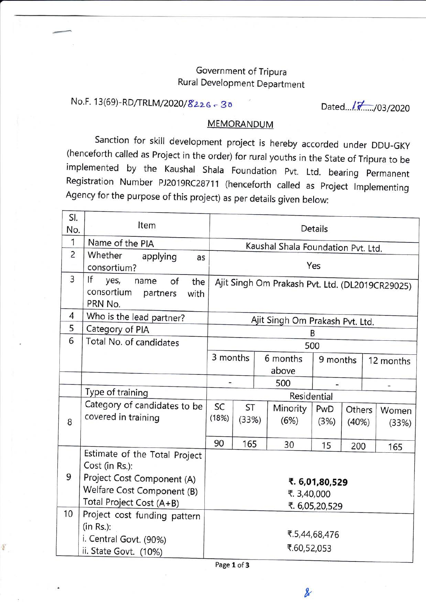## Government of Tripura Rural Development Department

## No.F. 13(69)-RD/TRLM/2020/8226 - 30

Dated.../ 7. .../ 03/2020

## **MEMORANDUM**

Sanction for skill development project is hereby accorded under DDU-GKy implemented by the Kaushal Shala Foundation Pvt. Ltd. bearing Permanent Registration Number PJ2019RC28711 (henceforth called as project lmplementing Agency for the purpose of this project) as per details given below:

| SI.<br>No.     | Item                            | Details                                         |             |          |          |               |        |  |           |  |
|----------------|---------------------------------|-------------------------------------------------|-------------|----------|----------|---------------|--------|--|-----------|--|
| 1              | Name of the PIA                 | Kaushal Shala Foundation Pvt. Ltd.              |             |          |          |               |        |  |           |  |
| $\overline{2}$ | Whether<br>applying<br>as       |                                                 |             |          |          |               |        |  |           |  |
|                | consortium?                     | Yes                                             |             |          |          |               |        |  |           |  |
| 3              | If<br>yes,<br>of<br>name<br>the | Ajit Singh Om Prakash Pvt. Ltd. (DL2019CR29025) |             |          |          |               |        |  |           |  |
|                | consortium<br>with<br>partners  |                                                 |             |          |          |               |        |  |           |  |
|                | PRN No.                         |                                                 |             |          |          |               |        |  |           |  |
| 4              | Who is the lead partner?        | Ajit Singh Om Prakash Pvt. Ltd.                 |             |          |          |               |        |  |           |  |
| 5              | Category of PIA                 | B                                               |             |          |          |               |        |  |           |  |
| 6              | Total No. of candidates         | 500                                             |             |          |          |               |        |  |           |  |
|                |                                 | 3 months                                        |             | 6 months |          | 9 months      |        |  | 12 months |  |
|                |                                 |                                                 | above       |          |          |               |        |  |           |  |
|                |                                 |                                                 | 500<br>Ξ.   |          |          |               |        |  |           |  |
|                | Type of training                | Residential                                     |             |          |          |               |        |  |           |  |
|                | Category of candidates to be    | SC                                              | <b>ST</b>   |          | Minority | PwD           | Others |  | Women     |  |
| 8              | covered in training             | (18%)<br>(33%)                                  |             | (6%)     |          | (3%)<br>(40%) |        |  | (33%)     |  |
|                |                                 |                                                 |             |          |          |               |        |  |           |  |
|                |                                 | 90                                              | 165         |          | 30       | 15            | 200    |  | 165       |  |
|                | Estimate of the Total Project   |                                                 |             |          |          |               |        |  |           |  |
| 9              | Cost (in Rs.):                  |                                                 |             |          |          |               |        |  |           |  |
|                | Project Cost Component (A)      | ₹. 6,01,80,529                                  |             |          |          |               |        |  |           |  |
|                | Welfare Cost Component (B)      | ₹. 3,40,000                                     |             |          |          |               |        |  |           |  |
| 10             | Total Project Cost (A+B)        | ₹. 6,05,20,529                                  |             |          |          |               |        |  |           |  |
|                | Project cost funding pattern    |                                                 |             |          |          |               |        |  |           |  |
|                | $(in Rs.)$ :<br>₹.5,44,68,476   |                                                 |             |          |          |               |        |  |           |  |
|                | i. Central Govt. (90%)          |                                                 | ₹.60,52,053 |          |          |               |        |  |           |  |
|                | ii. State Govt. (10%)           |                                                 |             |          |          |               |        |  |           |  |

Page I of 3

店

 $\boldsymbol{\ell}$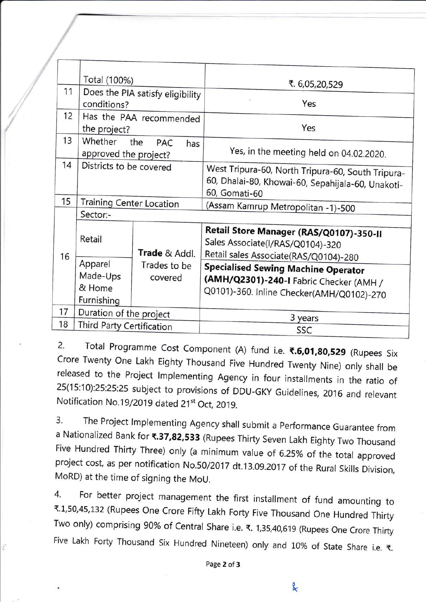|    | Total (100%)                                    |                          | ₹. 6,05,20,529                                                                                                                     |  |  |  |  |  |
|----|-------------------------------------------------|--------------------------|------------------------------------------------------------------------------------------------------------------------------------|--|--|--|--|--|
| 11 | Does the PIA satisfy eligibility<br>conditions? |                          | ×<br>Yes                                                                                                                           |  |  |  |  |  |
| 12 | the project?                                    | Has the PAA recommended  | Yes                                                                                                                                |  |  |  |  |  |
| 13 | Whether<br>approved the project?                | the<br><b>PAC</b><br>has | Yes, in the meeting held on 04.02.2020.                                                                                            |  |  |  |  |  |
| 14 | Districts to be covered                         |                          | West Tripura-60, North Tripura-60, South Tripura-<br>60, Dhalai-80, Khowai-60, Sepahijala-60, Unakoti-<br>60, Gomati-60            |  |  |  |  |  |
| 15 | <b>Training Center Location</b>                 |                          |                                                                                                                                    |  |  |  |  |  |
|    | Sector:-                                        |                          | (Assam Kamrup Metropolitan -1)-500                                                                                                 |  |  |  |  |  |
| 16 | Retail<br>Trade & Addl.                         |                          | Retail Store Manager (RAS/Q0107)-350-II<br>Sales Associate(I/RAS/Q0104)-320<br>Retail sales Associate(RAS/Q0104)-280               |  |  |  |  |  |
|    | Apparel<br>Made-Ups<br>& Home<br>Furnishing     | Trades to be<br>covered  | <b>Specialised Sewing Machine Operator</b><br>(AMH/Q2301)-240-I Fabric Checker (AMH /<br>Q0101)-360. Inline Checker(AMH/Q0102)-270 |  |  |  |  |  |
| 17 | Duration of the project                         |                          |                                                                                                                                    |  |  |  |  |  |
| 18 | Third Party Certification                       |                          | 3 years                                                                                                                            |  |  |  |  |  |
|    |                                                 |                          | SSC                                                                                                                                |  |  |  |  |  |

2. Total Programme Cost Component (A) fund i.e. ₹.6,01,80,529 (Rupees Six<br>Crore Twenty One Lakh Eighty Thousand Five Hundred Twenty Nine) only shall be released to the Project Implementing Agency in four installments in the ratio of 25(15:10):25:25:25 subject to provisions of DDU-GKY Guidelines, 2016 and relevant Notification No.19/2019 dated 21<sup>st</sup> Oct. 2019

3. The Project Implementing Agency shall submit a Performance Guarantee from a Nationalized Bank for **₹.37,82,533** (Rupees Thirty Seven Lakh Eighty Two Thousand<br>Five Hundred Thirty Three) only (a minimum value of 6.25% of the total approved project cost, as per notification No.50/2017 dt.13.09.2017 of the Rural Skills Division, MoRD) at the time of signing the MoU.

4. For better project management the first installment of fund amounting to t'1,50,45,132 (Rupees One Crore Fifty Lakh Forty Five Thousand One Hundred Thirty Two only) comprising 90% of Central Share i.e. ₹. 1,35,40,619 (Rupees One Crore Thirty Five Lakh Forty Thousand Six Hundred Nineteen) only and 10% of State Share i.e.  $\bar{\tau}$ .

Page 2 of 3

g.